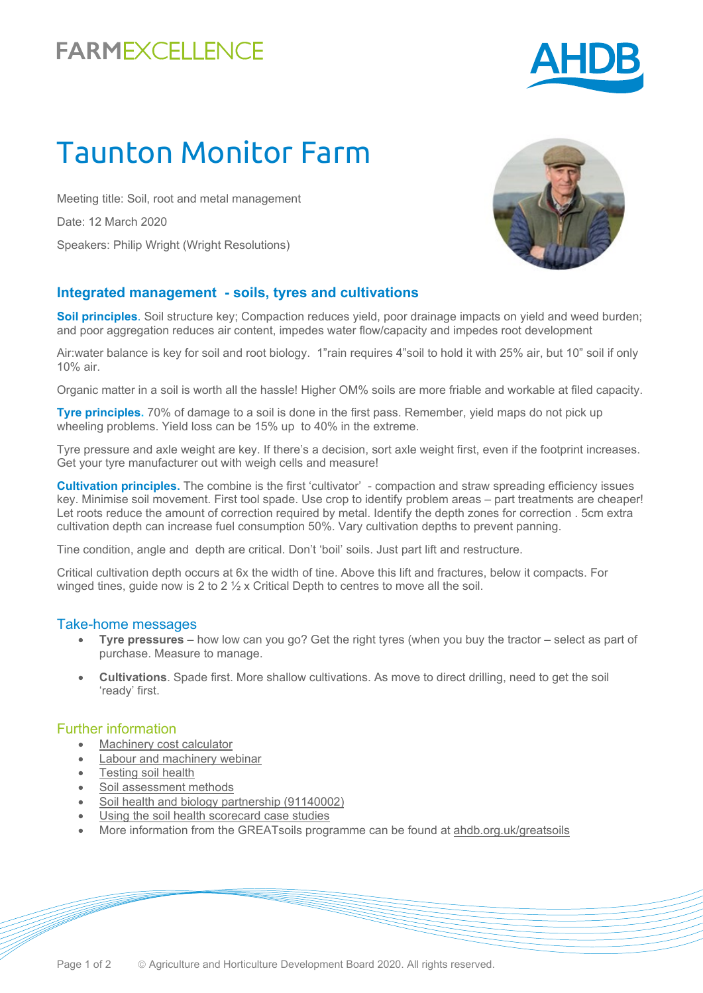## **FARMEXCELLENCE**



# Taunton Monitor Farm

Meeting title: Soil, root and metal management Date: 12 March 2020 Speakers: Philip Wright (Wright Resolutions)

#### **Integrated management - soils, tyres and cultivations**

**Soil principles**. Soil structure key; Compaction reduces yield, poor drainage impacts on yield and weed burden; and poor aggregation reduces air content, impedes water flow/capacity and impedes root development

Air:water balance is key for soil and root biology. 1"rain requires 4"soil to hold it with 25% air, but 10" soil if only 10% air.

Organic matter in a soil is worth all the hassle! Higher OM% soils are more friable and workable at filed capacity.

**Tyre principles.** 70% of damage to a soil is done in the first pass. Remember, yield maps do not pick up wheeling problems. Yield loss can be 15% up to 40% in the extreme.

Tyre pressure and axle weight are key. If there's a decision, sort axle weight first, even if the footprint increases. Get your tyre manufacturer out with weigh cells and measure!

**Cultivation principles.** The combine is the first 'cultivator' - compaction and straw spreading efficiency issues key. Minimise soil movement. First tool spade. Use crop to identify problem areas – part treatments are cheaper! Let roots reduce the amount of correction required by metal. Identify the depth zones for correction . 5cm extra cultivation depth can increase fuel consumption 50%. Vary cultivation depths to prevent panning.

Tine condition, angle and depth are critical. Don't 'boil' soils. Just part lift and restructure.

Critical cultivation depth occurs at 6x the width of tine. Above this lift and fractures, below it compacts. For winged tines, guide now is 2 to 2  $\frac{1}{2}$  x Critical Depth to centres to move all the soil.

#### Take-home messages

- **Tyre pressures** how low can you go? Get the right tyres (when you buy the tractor select as part of purchase. Measure to manage.
- **Cultivations**. Spade first. More shallow cultivations. As move to direct drilling, need to get the soil 'ready' first.

#### Further information

- [Machinery cost calculator](https://ahdb.org.uk/machinery-costing-calculator)
- [Labour and machinery webinar](https://www.youtube.com/watch?v=CEFWN891tp8)
- [Testing soil health](https://ahdb.org.uk/knowledge-library/testing-soil-health)
- [Soil assessment methods](https://ahdb.org.uk/knowledge-library/greatsoils-soil-assessment-methods)
- [Soil health and biology partnership \(91140002\)](https://cereals.ahdb.org.uk/shp)
- [Using the soil health scorecard case studies](https://ahdb.org.uk/knowledge-library/testing-the-soil-health-scorecard)
- More information from the GREATsoils programme can be found at [ahdb.org.uk/greatsoils](https://ahdb.org.uk/greatsoils)